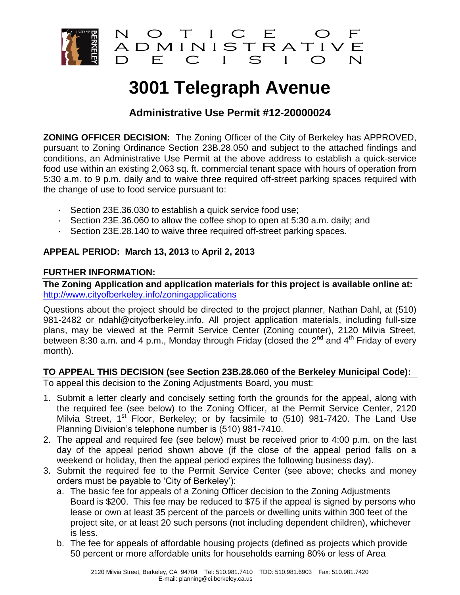

# **3001 Telegraph Avenue**

# **Administrative Use Permit #12-20000024**

**ZONING OFFICER DECISION:** The Zoning Officer of the City of Berkeley has APPROVED, pursuant to Zoning Ordinance Section 23B.28.050 and subject to the attached findings and conditions, an Administrative Use Permit at the above address to establish a quick-service food use within an existing 2,063 sq. ft. commercial tenant space with hours of operation from 5:30 a.m. to 9 p.m. daily and to waive three required off-street parking spaces required with the change of use to food service pursuant to:

- · Section 23E.36.030 to establish a quick service food use;
- · Section 23E.36.060 to allow the coffee shop to open at 5:30 a.m. daily; and
- · Section 23E.28.140 to waive three required off-street parking spaces.

## **APPEAL PERIOD: March 13, 2013** to **April 2, 2013**

## **FURTHER INFORMATION:**

**The Zoning Application and application materials for this project is available online at:** <http://www.cityofberkeley.info/zoningapplications>

Questions about the project should be directed to the project planner, Nathan Dahl, at (510) 981-2482 or ndahl@cityofberkeley.info. All project application materials, including full-size plans, may be viewed at the Permit Service Center (Zoning counter), 2120 Milvia Street, between 8:30 a.m. and 4 p.m., Monday through Friday (closed the 2<sup>nd</sup> and 4<sup>th</sup> Friday of every month).

## **TO APPEAL THIS DECISION (see Section 23B.28.060 of the Berkeley Municipal Code):**

To appeal this decision to the Zoning Adjustments Board, you must:

- 1. Submit a letter clearly and concisely setting forth the grounds for the appeal, along with the required fee (see below) to the Zoning Officer, at the Permit Service Center, 2120 Milvia Street, 1<sup>st</sup> Floor, Berkeley; or by facsimile to (510) 981-7420. The Land Use Planning Division's telephone number is (510) 981-7410.
- 2. The appeal and required fee (see below) must be received prior to 4:00 p.m. on the last day of the appeal period shown above (if the close of the appeal period falls on a weekend or holiday, then the appeal period expires the following business day).
- 3. Submit the required fee to the Permit Service Center (see above; checks and money orders must be payable to 'City of Berkeley'):
	- a. The basic fee for appeals of a Zoning Officer decision to the Zoning Adjustments Board is \$200. This fee may be reduced to \$75 if the appeal is signed by persons who lease or own at least 35 percent of the parcels or dwelling units within 300 feet of the project site, or at least 20 such persons (not including dependent children), whichever is less.
	- b. The fee for appeals of affordable housing projects (defined as projects which provide 50 percent or more affordable units for households earning 80% or less of Area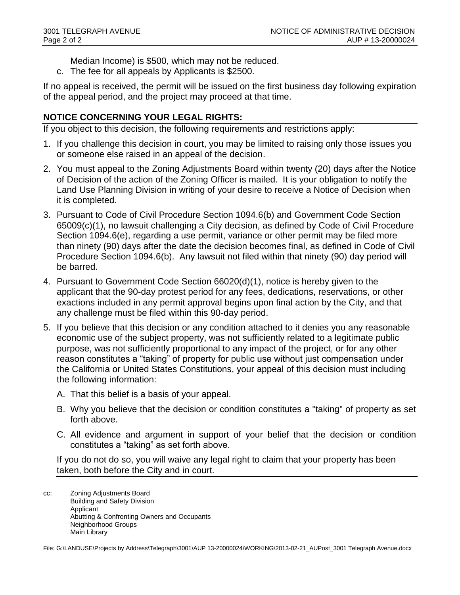- Median Income) is \$500, which may not be reduced.
- c. The fee for all appeals by Applicants is \$2500.

If no appeal is received, the permit will be issued on the first business day following expiration of the appeal period, and the project may proceed at that time.

## **NOTICE CONCERNING YOUR LEGAL RIGHTS:**

If you object to this decision, the following requirements and restrictions apply:

- 1. If you challenge this decision in court, you may be limited to raising only those issues you or someone else raised in an appeal of the decision.
- 2. You must appeal to the Zoning Adjustments Board within twenty (20) days after the Notice of Decision of the action of the Zoning Officer is mailed. It is your obligation to notify the Land Use Planning Division in writing of your desire to receive a Notice of Decision when it is completed.
- 3. Pursuant to Code of Civil Procedure Section 1094.6(b) and Government Code Section 65009(c)(1), no lawsuit challenging a City decision, as defined by Code of Civil Procedure Section 1094.6(e), regarding a use permit, variance or other permit may be filed more than ninety (90) days after the date the decision becomes final, as defined in Code of Civil Procedure Section 1094.6(b). Any lawsuit not filed within that ninety (90) day period will be barred.
- 4. Pursuant to Government Code Section 66020(d)(1), notice is hereby given to the applicant that the 90-day protest period for any fees, dedications, reservations, or other exactions included in any permit approval begins upon final action by the City, and that any challenge must be filed within this 90-day period.
- 5. If you believe that this decision or any condition attached to it denies you any reasonable economic use of the subject property, was not sufficiently related to a legitimate public purpose, was not sufficiently proportional to any impact of the project, or for any other reason constitutes a "taking" of property for public use without just compensation under the California or United States Constitutions, your appeal of this decision must including the following information:
	- A. That this belief is a basis of your appeal.
	- B. Why you believe that the decision or condition constitutes a "taking" of property as set forth above.
	- C. All evidence and argument in support of your belief that the decision or condition constitutes a "taking" as set forth above.

If you do not do so, you will waive any legal right to claim that your property has been taken, both before the City and in court.

cc: Zoning Adjustments Board Building and Safety Division Applicant Abutting & Confronting Owners and Occupants Neighborhood Groups Main Library

File: G:\LANDUSE\Projects by Address\Telegraph\3001\AUP 13-20000024\WORKING\2013-02-21\_AUPost\_3001 Telegraph Avenue.docx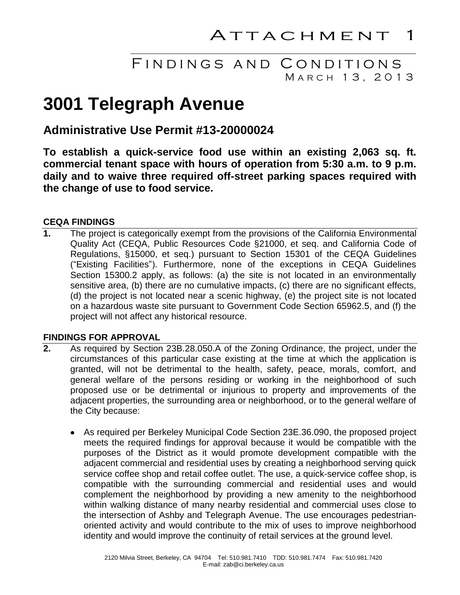# FINDINGS AND CONDITIONS MARCH 13, 2013

# **3001 Telegraph Avenue**

# **Administrative Use Permit #13-20000024**

**To establish a quick-service food use within an existing 2,063 sq. ft. commercial tenant space with hours of operation from 5:30 a.m. to 9 p.m. daily and to waive three required off-street parking spaces required with the change of use to food service.**

### **CEQA FINDINGS**

**1.** The project is categorically exempt from the provisions of the California Environmental Quality Act (CEQA, Public Resources Code §21000, et seq. and California Code of Regulations, §15000, et seq.) pursuant to Section 15301 of the CEQA Guidelines ("Existing Facilities"). Furthermore, none of the exceptions in CEQA Guidelines Section 15300.2 apply, as follows: (a) the site is not located in an environmentally sensitive area, (b) there are no cumulative impacts, (c) there are no significant effects, (d) the project is not located near a scenic highway, (e) the project site is not located on a hazardous waste site pursuant to Government Code Section 65962.5, and (f) the project will not affect any historical resource.

#### **FINDINGS FOR APPROVAL**

- **2.** As required by Section 23B.28.050.A of the Zoning Ordinance, the project, under the circumstances of this particular case existing at the time at which the application is granted, will not be detrimental to the health, safety, peace, morals, comfort, and general welfare of the persons residing or working in the neighborhood of such proposed use or be detrimental or injurious to property and improvements of the adjacent properties, the surrounding area or neighborhood, or to the general welfare of the City because:
	- As required per Berkeley Municipal Code Section 23E.36.090, the proposed project  $\bullet$ meets the required findings for approval because it would be compatible with the purposes of the District as it would promote development compatible with the adjacent commercial and residential uses by creating a neighborhood serving quick service coffee shop and retail coffee outlet. The use, a quick-service coffee shop, is compatible with the surrounding commercial and residential uses and would complement the neighborhood by providing a new amenity to the neighborhood within walking distance of many nearby residential and commercial uses close to the intersection of Ashby and Telegraph Avenue. The use encourages pedestrianoriented activity and would contribute to the mix of uses to improve neighborhood identity and would improve the continuity of retail services at the ground level.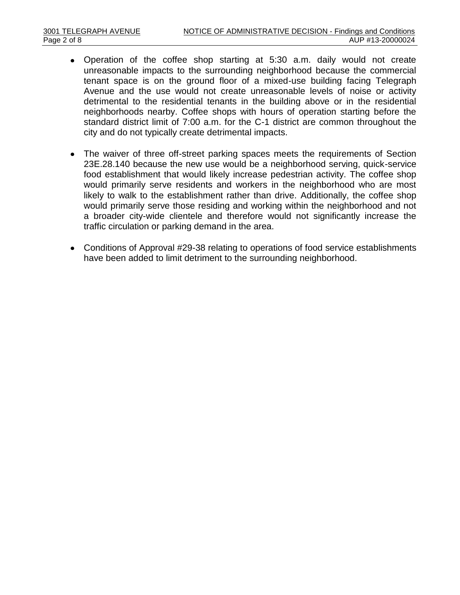- Operation of the coffee shop starting at 5:30 a.m. daily would not create unreasonable impacts to the surrounding neighborhood because the commercial tenant space is on the ground floor of a mixed-use building facing Telegraph Avenue and the use would not create unreasonable levels of noise or activity detrimental to the residential tenants in the building above or in the residential neighborhoods nearby. Coffee shops with hours of operation starting before the standard district limit of 7:00 a.m. for the C-1 district are common throughout the city and do not typically create detrimental impacts.
- The waiver of three off-street parking spaces meets the requirements of Section 23E.28.140 because the new use would be a neighborhood serving, quick-service food establishment that would likely increase pedestrian activity. The coffee shop would primarily serve residents and workers in the neighborhood who are most likely to walk to the establishment rather than drive. Additionally, the coffee shop would primarily serve those residing and working within the neighborhood and not a broader city-wide clientele and therefore would not significantly increase the traffic circulation or parking demand in the area.
- Conditions of Approval #29-38 relating to operations of food service establishments have been added to limit detriment to the surrounding neighborhood.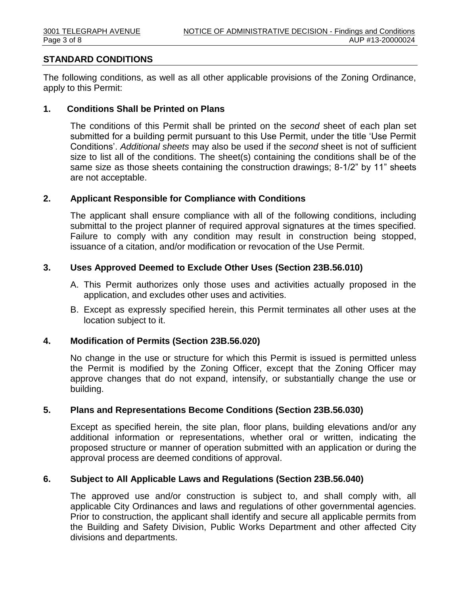#### **STANDARD CONDITIONS**

The following conditions, as well as all other applicable provisions of the Zoning Ordinance, apply to this Permit:

#### **1. Conditions Shall be Printed on Plans**

The conditions of this Permit shall be printed on the *second* sheet of each plan set submitted for a building permit pursuant to this Use Permit, under the title 'Use Permit Conditions'. *Additional sheets* may also be used if the *second* sheet is not of sufficient size to list all of the conditions. The sheet(s) containing the conditions shall be of the same size as those sheets containing the construction drawings; 8-1/2" by 11" sheets are not acceptable.

#### **2. Applicant Responsible for Compliance with Conditions**

The applicant shall ensure compliance with all of the following conditions, including submittal to the project planner of required approval signatures at the times specified. Failure to comply with any condition may result in construction being stopped, issuance of a citation, and/or modification or revocation of the Use Permit.

#### **3. Uses Approved Deemed to Exclude Other Uses (Section 23B.56.010)**

- A. This Permit authorizes only those uses and activities actually proposed in the application, and excludes other uses and activities.
- B. Except as expressly specified herein, this Permit terminates all other uses at the location subject to it.

#### **4. Modification of Permits (Section 23B.56.020)**

No change in the use or structure for which this Permit is issued is permitted unless the Permit is modified by the Zoning Officer, except that the Zoning Officer may approve changes that do not expand, intensify, or substantially change the use or building.

#### **5. Plans and Representations Become Conditions (Section 23B.56.030)**

Except as specified herein, the site plan, floor plans, building elevations and/or any additional information or representations, whether oral or written, indicating the proposed structure or manner of operation submitted with an application or during the approval process are deemed conditions of approval.

#### **6. Subject to All Applicable Laws and Regulations (Section 23B.56.040)**

The approved use and/or construction is subject to, and shall comply with, all applicable City Ordinances and laws and regulations of other governmental agencies. Prior to construction, the applicant shall identify and secure all applicable permits from the Building and Safety Division, Public Works Department and other affected City divisions and departments.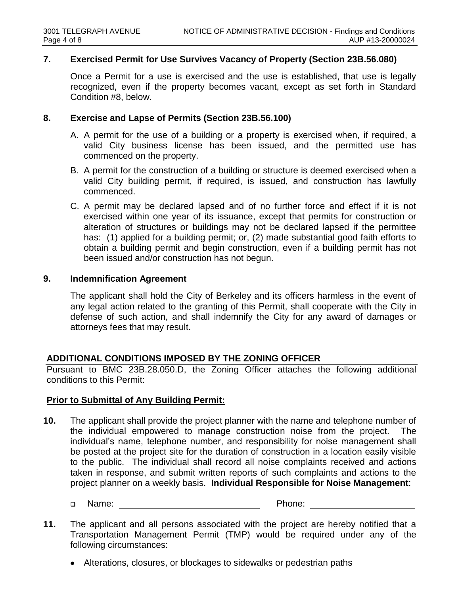#### **7. Exercised Permit for Use Survives Vacancy of Property (Section 23B.56.080)**

Once a Permit for a use is exercised and the use is established, that use is legally recognized, even if the property becomes vacant, except as set forth in Standard Condition #8, below.

#### **8. Exercise and Lapse of Permits (Section 23B.56.100)**

- A. A permit for the use of a building or a property is exercised when, if required, a valid City business license has been issued, and the permitted use has commenced on the property.
- B. A permit for the construction of a building or structure is deemed exercised when a valid City building permit, if required, is issued, and construction has lawfully commenced.
- C. A permit may be declared lapsed and of no further force and effect if it is not exercised within one year of its issuance, except that permits for construction or alteration of structures or buildings may not be declared lapsed if the permittee has: (1) applied for a building permit; or, (2) made substantial good faith efforts to obtain a building permit and begin construction, even if a building permit has not been issued and/or construction has not begun.

#### **9. Indemnification Agreement**

The applicant shall hold the City of Berkeley and its officers harmless in the event of any legal action related to the granting of this Permit, shall cooperate with the City in defense of such action, and shall indemnify the City for any award of damages or attorneys fees that may result.

#### **ADDITIONAL CONDITIONS IMPOSED BY THE ZONING OFFICER**

Pursuant to BMC 23B.28.050.D, the Zoning Officer attaches the following additional conditions to this Permit:

#### **Prior to Submittal of Any Building Permit:**

- **10.** The applicant shall provide the project planner with the name and telephone number of the individual empowered to manage construction noise from the project. The individual's name, telephone number, and responsibility for noise management shall be posted at the project site for the duration of construction in a location easily visible to the public. The individual shall record all noise complaints received and actions taken in response, and submit written reports of such complaints and actions to the project planner on a weekly basis. **Individual Responsible for Noise Management**:
	- Name: Phone:
- **11.** The applicant and all persons associated with the project are hereby notified that a Transportation Management Permit (TMP) would be required under any of the following circumstances:
	- Alterations, closures, or blockages to sidewalks or pedestrian paths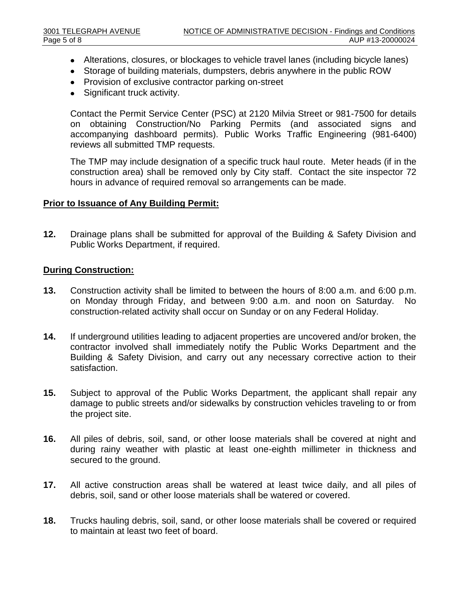- Alterations, closures, or blockages to vehicle travel lanes (including bicycle lanes)
- Storage of building materials, dumpsters, debris anywhere in the public ROW
- Provision of exclusive contractor parking on-street
- $\bullet$ Significant truck activity.

Contact the Permit Service Center (PSC) at 2120 Milvia Street or 981-7500 for details on obtaining Construction/No Parking Permits (and associated signs and accompanying dashboard permits). Public Works Traffic Engineering (981-6400) reviews all submitted TMP requests.

The TMP may include designation of a specific truck haul route. Meter heads (if in the construction area) shall be removed only by City staff. Contact the site inspector 72 hours in advance of required removal so arrangements can be made.

#### **Prior to Issuance of Any Building Permit:**

**12.** Drainage plans shall be submitted for approval of the Building & Safety Division and Public Works Department, if required.

#### **During Construction:**

- **13.** Construction activity shall be limited to between the hours of 8:00 a.m. and 6:00 p.m. on Monday through Friday, and between 9:00 a.m. and noon on Saturday. No construction-related activity shall occur on Sunday or on any Federal Holiday.
- **14.** If underground utilities leading to adjacent properties are uncovered and/or broken, the contractor involved shall immediately notify the Public Works Department and the Building & Safety Division, and carry out any necessary corrective action to their satisfaction.
- **15.** Subject to approval of the Public Works Department, the applicant shall repair any damage to public streets and/or sidewalks by construction vehicles traveling to or from the project site.
- **16.** All piles of debris, soil, sand, or other loose materials shall be covered at night and during rainy weather with plastic at least one-eighth millimeter in thickness and secured to the ground.
- **17.** All active construction areas shall be watered at least twice daily, and all piles of debris, soil, sand or other loose materials shall be watered or covered.
- **18.** Trucks hauling debris, soil, sand, or other loose materials shall be covered or required to maintain at least two feet of board.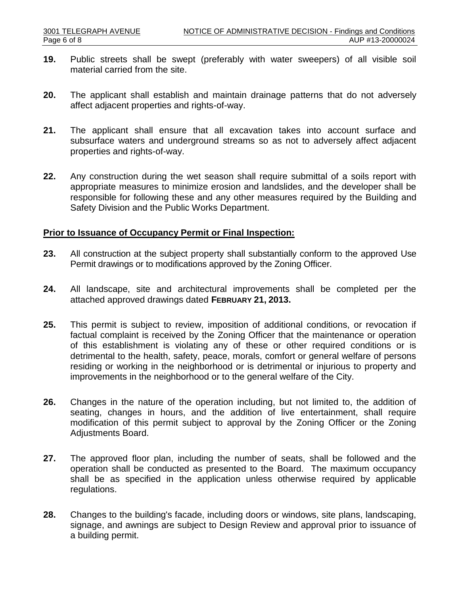- **19.** Public streets shall be swept (preferably with water sweepers) of all visible soil material carried from the site.
- **20.** The applicant shall establish and maintain drainage patterns that do not adversely affect adjacent properties and rights-of-way.
- **21.** The applicant shall ensure that all excavation takes into account surface and subsurface waters and underground streams so as not to adversely affect adjacent properties and rights-of-way.
- **22.** Any construction during the wet season shall require submittal of a soils report with appropriate measures to minimize erosion and landslides, and the developer shall be responsible for following these and any other measures required by the Building and Safety Division and the Public Works Department.

#### **Prior to Issuance of Occupancy Permit or Final Inspection:**

- **23.** All construction at the subject property shall substantially conform to the approved Use Permit drawings or to modifications approved by the Zoning Officer.
- **24.** All landscape, site and architectural improvements shall be completed per the attached approved drawings dated **FEBRUARY 21, 2013.**
- **25.** This permit is subject to review, imposition of additional conditions, or revocation if factual complaint is received by the Zoning Officer that the maintenance or operation of this establishment is violating any of these or other required conditions or is detrimental to the health, safety, peace, morals, comfort or general welfare of persons residing or working in the neighborhood or is detrimental or injurious to property and improvements in the neighborhood or to the general welfare of the City.
- **26.** Changes in the nature of the operation including, but not limited to, the addition of seating, changes in hours, and the addition of live entertainment, shall require modification of this permit subject to approval by the Zoning Officer or the Zoning Adjustments Board.
- **27.** The approved floor plan, including the number of seats, shall be followed and the operation shall be conducted as presented to the Board. The maximum occupancy shall be as specified in the application unless otherwise required by applicable regulations.
- **28.** Changes to the building's facade, including doors or windows, site plans, landscaping, signage, and awnings are subject to Design Review and approval prior to issuance of a building permit.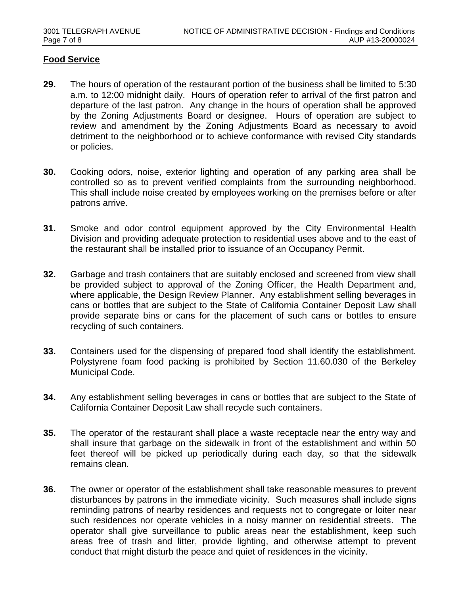#### **Food Service**

- **29.** The hours of operation of the restaurant portion of the business shall be limited to 5:30 a.m. to 12:00 midnight daily. Hours of operation refer to arrival of the first patron and departure of the last patron. Any change in the hours of operation shall be approved by the Zoning Adjustments Board or designee. Hours of operation are subject to review and amendment by the Zoning Adjustments Board as necessary to avoid detriment to the neighborhood or to achieve conformance with revised City standards or policies.
- **30.** Cooking odors, noise, exterior lighting and operation of any parking area shall be controlled so as to prevent verified complaints from the surrounding neighborhood. This shall include noise created by employees working on the premises before or after patrons arrive.
- **31.** Smoke and odor control equipment approved by the City Environmental Health Division and providing adequate protection to residential uses above and to the east of the restaurant shall be installed prior to issuance of an Occupancy Permit.
- **32.** Garbage and trash containers that are suitably enclosed and screened from view shall be provided subject to approval of the Zoning Officer, the Health Department and, where applicable, the Design Review Planner. Any establishment selling beverages in cans or bottles that are subject to the State of California Container Deposit Law shall provide separate bins or cans for the placement of such cans or bottles to ensure recycling of such containers.
- **33.** Containers used for the dispensing of prepared food shall identify the establishment. Polystyrene foam food packing is prohibited by Section 11.60.030 of the Berkeley Municipal Code.
- **34.** Any establishment selling beverages in cans or bottles that are subject to the State of California Container Deposit Law shall recycle such containers.
- **35.** The operator of the restaurant shall place a waste receptacle near the entry way and shall insure that garbage on the sidewalk in front of the establishment and within 50 feet thereof will be picked up periodically during each day, so that the sidewalk remains clean.
- **36.** The owner or operator of the establishment shall take reasonable measures to prevent disturbances by patrons in the immediate vicinity. Such measures shall include signs reminding patrons of nearby residences and requests not to congregate or loiter near such residences nor operate vehicles in a noisy manner on residential streets. The operator shall give surveillance to public areas near the establishment, keep such areas free of trash and litter, provide lighting, and otherwise attempt to prevent conduct that might disturb the peace and quiet of residences in the vicinity.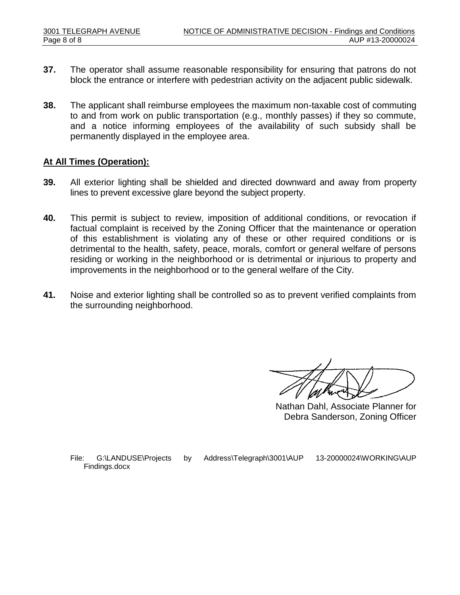- **37.** The operator shall assume reasonable responsibility for ensuring that patrons do not block the entrance or interfere with pedestrian activity on the adjacent public sidewalk.
- **38.** The applicant shall reimburse employees the maximum non-taxable cost of commuting to and from work on public transportation (e.g., monthly passes) if they so commute, and a notice informing employees of the availability of such subsidy shall be permanently displayed in the employee area.

#### **At All Times (Operation):**

- **39.** All exterior lighting shall be shielded and directed downward and away from property lines to prevent excessive glare beyond the subject property.
- **40.** This permit is subject to review, imposition of additional conditions, or revocation if factual complaint is received by the Zoning Officer that the maintenance or operation of this establishment is violating any of these or other required conditions or is detrimental to the health, safety, peace, morals, comfort or general welfare of persons residing or working in the neighborhood or is detrimental or injurious to property and improvements in the neighborhood or to the general welfare of the City.
- **41.** Noise and exterior lighting shall be controlled so as to prevent verified complaints from the surrounding neighborhood.

Nathan Dahl, Associate Planner for Debra Sanderson, Zoning Officer

File: G:\LANDUSE\Projects by Address\Telegraph\3001\AUP 13-20000024\WORKING\AUP Findings.docx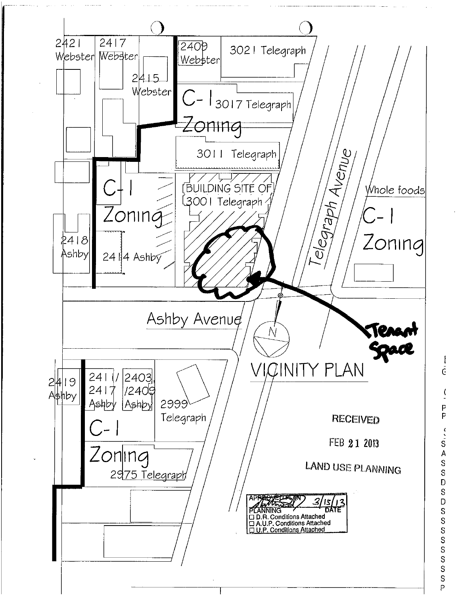

ł